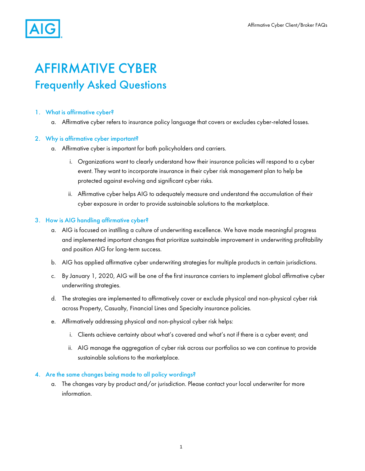

# AFFIRMATIVE CYBER Frequently Asked Questions

## 1. What is affirmative cyber?

a. Affirmative cyber refers to insurance policy language that covers or excludes cyber-related losses.

### 2. Why is affirmative cyber important?

- a. Affirmative cyber is important for both policyholders and carriers.
	- i. Organizations want to clearly understand how their insurance policies will respond to a cyber event. They want to incorporate insurance in their cyber risk management plan to help be protected against evolving and significant cyber risks.
	- ii. Affirmative cyber helps AIG to adequately measure and understand the accumulation of their cyber exposure in order to provide sustainable solutions to the marketplace.

### 3. How is AIG handling affirmative cyber?

- a. AIG is focused on instilling a culture of underwriting excellence. We have made meaningful progress and implemented important changes that prioritize sustainable improvement in underwriting profitability and position AIG for long-term success.
- b. AIG has applied affirmative cyber underwriting strategies for multiple products in certain jurisdictions.
- c. By January 1, 2020, AIG will be one of the first insurance carriers to implement global affirmative cyber underwriting strategies.
- d. The strategies are implemented to affirmatively cover or exclude physical and non-physical cyber risk across Property, Casualty, Financial Lines and Specialty insurance policies.
- e. Affirmatively addressing physical and non-physical cyber risk helps:
	- i. Clients achieve certainty about what's covered and what's not if there is a cyber event; and
	- ii. AIG manage the aggregation of cyber risk across our portfolios so we can continue to provide sustainable solutions to the marketplace.

#### 4. Are the same changes being made to all policy wordings?

a. The changes vary by product and/or jurisdiction. Please contact your local underwriter for more information.